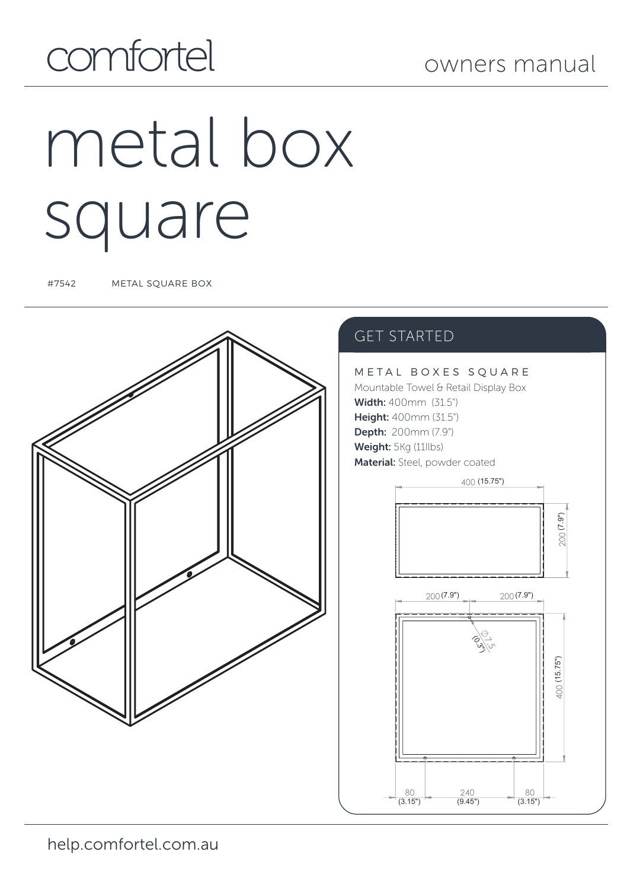### owners manual

# comfortel

# metal box square

#7542 METAL SQUARE BOX



### GET STARTED

METAL BOXES SOUARE Mountable Towel & Retail Display Box Width: 400mm (31.5") Height: 400mm (31.5") Depth: 200mm (7.9") Weight: 5Kg (11llbs) Material: Steel, powder coated